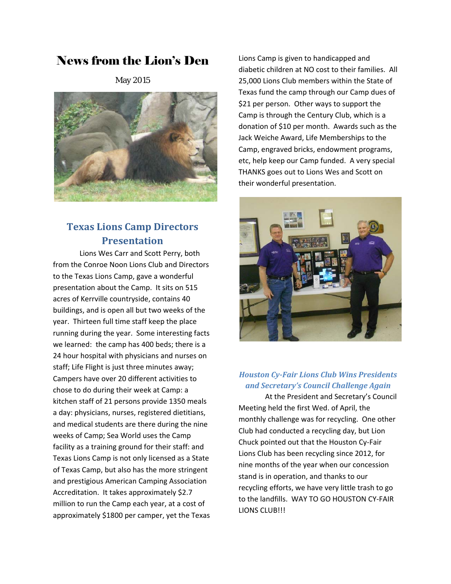# News from the Lion's Den

May 2015



## **Texas Lions Camp Directors Presentation**

Lions Wes Carr and Scott Perry, both from the Conroe Noon Lions Club and Directors to the Texas Lions Camp, gave a wonderful presentation about the Camp. It sits on 515 acres of Kerrville countryside, contains 40 buildings, and is open all but two weeks of the year. Thirteen full time staff keep the place running during the year. Some interesting facts we learned: the camp has 400 beds; there is a 24 hour hospital with physicians and nurses on staff; Life Flight is just three minutes away; Campers have over 20 different activities to chose to do during their week at Camp: a kitchen staff of 21 persons provide 1350 meals a day: physicians, nurses, registered dietitians, and medical students are there during the nine weeks of Camp; Sea World uses the Camp facility as a training ground for their staff: and Texas Lions Camp is not only licensed as a State of Texas Camp, but also has the more stringent and prestigious American Camping Association Accreditation. It takes approximately \$2.7 million to run the Camp each year, at a cost of approximately \$1800 per camper, yet the Texas

Lions Camp is given to handicapped and diabetic children at NO cost to their families. All 25,000 Lions Club members within the State of Texas fund the camp through our Camp dues of \$21 per person. Other ways to support the Camp is through the Century Club, which is a donation of \$10 per month. Awards such as the Jack Weiche Award, Life Memberships to the Camp, engraved bricks, endowment programs, etc, help keep our Camp funded. A very special THANKS goes out to Lions Wes and Scott on their wonderful presentation.



### *Houston Cy‐Fair Lions Club Wins Presidents and Secretary's Council Challenge Again*

At the President and Secretary's Council Meeting held the first Wed. of April, the monthly challenge was for recycling. One other Club had conducted a recycling day, but Lion Chuck pointed out that the Houston Cy‐Fair Lions Club has been recycling since 2012, for nine months of the year when our concession stand is in operation, and thanks to our recycling efforts, we have very little trash to go to the landfills. WAY TO GO HOUSTON CY‐FAIR LIONS CLUB!!!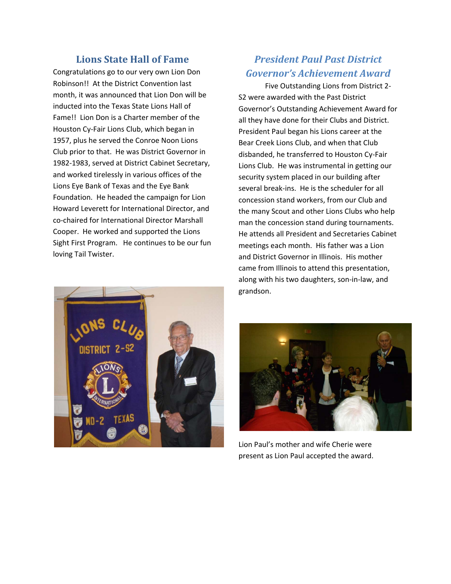### **Lions State Hall** of **Fame**

Congratulations go to our very own Lion Don Robinson!! At the District Convention last month, it was announced that Lion Don will be inducted into the Texas State Lions Hall of Fame!! Lion Don is a Charter member of the Houston Cy‐Fair Lions Club, which began in 1957, plus he served the Conroe Noon Lions Club prior to that. He was District Governor in 1982‐1983, served at District Cabinet Secretary, and worked tirelessly in various offices of the Lions Eye Bank of Texas and the Eye Bank Foundation. He headed the campaign for Lion Howard Leverett for International Director, and co‐chaired for International Director Marshall Cooper. He worked and supported the Lions Sight First Program. He continues to be our fun loving Tail Twister.

## *President Paul Past District Governor's Achievement Award*

Five Outstanding Lions from District 2‐ S2 were awarded with the Past District Governor's Outstanding Achievement Award for all they have done for their Clubs and District. President Paul began his Lions career at the Bear Creek Lions Club, and when that Club disbanded, he transferred to Houston Cy‐Fair Lions Club. He was instrumental in getting our security system placed in our building after several break‐ins. He is the scheduler for all concession stand workers, from our Club and the many Scout and other Lions Clubs who help man the concession stand during tournaments. He attends all President and Secretaries Cabinet meetings each month. His father was a Lion and District Governor in Illinois. His mother came from Illinois to attend this presentation, along with his two daughters, son‐in‐law, and grandson.





Lion Paul's mother and wife Cherie were present as Lion Paul accepted the award.